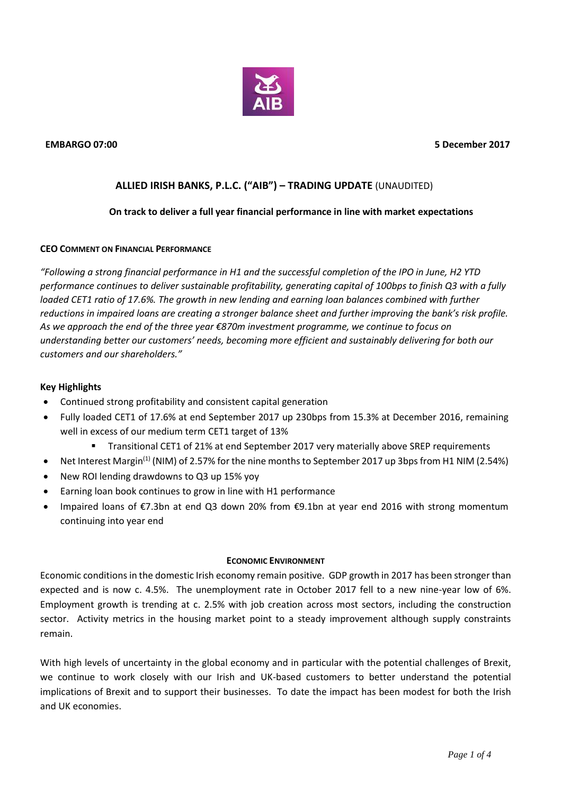

# **ALLIED IRISH BANKS, P.L.C. ("AIB") – TRADING UPDATE** (UNAUDITED)

## **On track to deliver a full year financial performance in line with market expectations**

## **CEO COMMENT ON FINANCIAL PERFORMANCE**

*"Following a strong financial performance in H1 and the successful completion of the IPO in June, H2 YTD performance continues to deliver sustainable profitability, generating capital of 100bps to finish Q3 with a fully loaded CET1 ratio of 17.6%. The growth in new lending and earning loan balances combined with further reductions in impaired loans are creating a stronger balance sheet and further improving the bank's risk profile. As we approach the end of the three year €870m investment programme, we continue to focus on understanding better our customers' needs, becoming more efficient and sustainably delivering for both our customers and our shareholders."* 

## **Key Highlights**

- Continued strong profitability and consistent capital generation
- Fully loaded CET1 of 17.6% at end September 2017 up 230bps from 15.3% at December 2016, remaining well in excess of our medium term CET1 target of 13%
	- Transitional CET1 of 21% at end September 2017 very materially above SREP requirements
- Net Interest Margin<sup>(1)</sup> (NIM) of 2.57% for the nine months to September 2017 up 3bps from H1 NIM (2.54%)
- New ROI lending drawdowns to Q3 up 15% yoy
- Earning loan book continues to grow in line with H1 performance
- Impaired loans of €7.3bn at end Q3 down 20% from €9.1bn at year end 2016 with strong momentum continuing into year end

#### **ECONOMIC ENVIRONMENT**

Economic conditions in the domestic Irish economy remain positive. GDP growth in 2017 has been stronger than expected and is now c. 4.5%. The unemployment rate in October 2017 fell to a new nine-year low of 6%. Employment growth is trending at c. 2.5% with job creation across most sectors, including the construction sector. Activity metrics in the housing market point to a steady improvement although supply constraints remain.

With high levels of uncertainty in the global economy and in particular with the potential challenges of Brexit, we continue to work closely with our Irish and UK-based customers to better understand the potential implications of Brexit and to support their businesses. To date the impact has been modest for both the Irish and UK economies.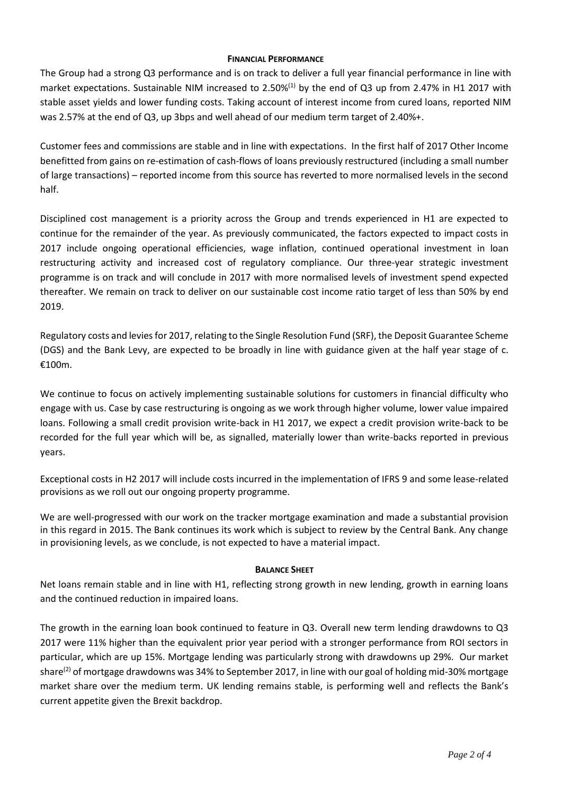#### **FINANCIAL PERFORMANCE**

The Group had a strong Q3 performance and is on track to deliver a full year financial performance in line with market expectations. Sustainable NIM increased to 2.50%<sup>(1)</sup> by the end of Q3 up from 2.47% in H1 2017 with stable asset yields and lower funding costs. Taking account of interest income from cured loans, reported NIM was 2.57% at the end of Q3, up 3bps and well ahead of our medium term target of 2.40%+.

Customer fees and commissions are stable and in line with expectations. In the first half of 2017 Other Income benefitted from gains on re-estimation of cash-flows of loans previously restructured (including a small number of large transactions) – reported income from this source has reverted to more normalised levels in the second half.

Disciplined cost management is a priority across the Group and trends experienced in H1 are expected to continue for the remainder of the year. As previously communicated, the factors expected to impact costs in 2017 include ongoing operational efficiencies, wage inflation, continued operational investment in loan restructuring activity and increased cost of regulatory compliance. Our three-year strategic investment programme is on track and will conclude in 2017 with more normalised levels of investment spend expected thereafter. We remain on track to deliver on our sustainable cost income ratio target of less than 50% by end 2019.

Regulatory costs and levies for 2017, relating to the Single Resolution Fund (SRF), the Deposit Guarantee Scheme (DGS) and the Bank Levy, are expected to be broadly in line with guidance given at the half year stage of c. €100m.

We continue to focus on actively implementing sustainable solutions for customers in financial difficulty who engage with us. Case by case restructuring is ongoing as we work through higher volume, lower value impaired loans. Following a small credit provision write-back in H1 2017, we expect a credit provision write-back to be recorded for the full year which will be, as signalled, materially lower than write-backs reported in previous years.

Exceptional costs in H2 2017 will include costs incurred in the implementation of IFRS 9 and some lease-related provisions as we roll out our ongoing property programme.

We are well-progressed with our work on the tracker mortgage examination and made a substantial provision in this regard in 2015. The Bank continues its work which is subject to review by the Central Bank. Any change in provisioning levels, as we conclude, is not expected to have a material impact.

## **BALANCE SHEET**

Net loans remain stable and in line with H1, reflecting strong growth in new lending, growth in earning loans and the continued reduction in impaired loans.

The growth in the earning loan book continued to feature in Q3. Overall new term lending drawdowns to Q3 2017 were 11% higher than the equivalent prior year period with a stronger performance from ROI sectors in particular, which are up 15%. Mortgage lending was particularly strong with drawdowns up 29%. Our market share<sup>(2)</sup> of mortgage drawdowns was 34% to September 2017, in line with our goal of holding mid-30% mortgage market share over the medium term. UK lending remains stable, is performing well and reflects the Bank's current appetite given the Brexit backdrop.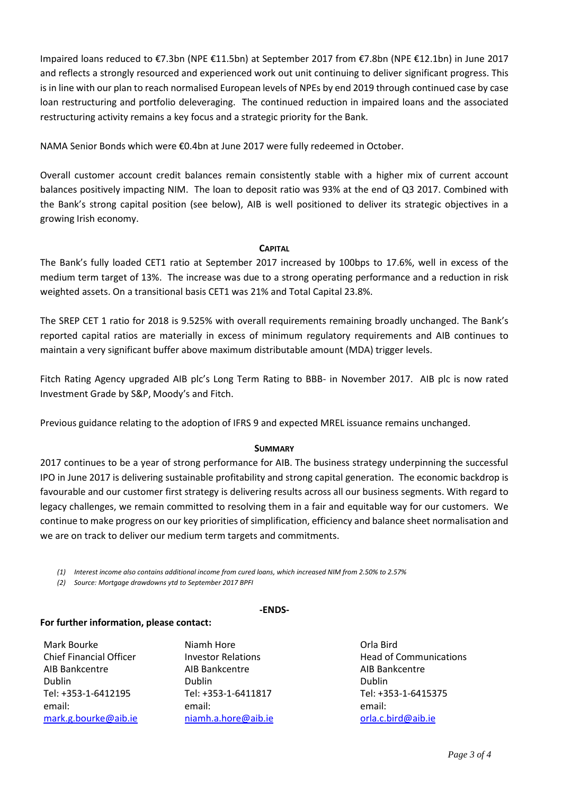Impaired loans reduced to €7.3bn (NPE €11.5bn) at September 2017 from €7.8bn (NPE €12.1bn) in June 2017 and reflects a strongly resourced and experienced work out unit continuing to deliver significant progress. This is in line with our plan to reach normalised European levels of NPEs by end 2019 through continued case by case loan restructuring and portfolio deleveraging. The continued reduction in impaired loans and the associated restructuring activity remains a key focus and a strategic priority for the Bank.

NAMA Senior Bonds which were €0.4bn at June 2017 were fully redeemed in October.

Overall customer account credit balances remain consistently stable with a higher mix of current account balances positively impacting NIM. The loan to deposit ratio was 93% at the end of Q3 2017. Combined with the Bank's strong capital position (see below), AIB is well positioned to deliver its strategic objectives in a growing Irish economy.

## **CAPITAL**

The Bank's fully loaded CET1 ratio at September 2017 increased by 100bps to 17.6%, well in excess of the medium term target of 13%. The increase was due to a strong operating performance and a reduction in risk weighted assets. On a transitional basis CET1 was 21% and Total Capital 23.8%.

The SREP CET 1 ratio for 2018 is 9.525% with overall requirements remaining broadly unchanged. The Bank's reported capital ratios are materially in excess of minimum regulatory requirements and AIB continues to maintain a very significant buffer above maximum distributable amount (MDA) trigger levels.

Fitch Rating Agency upgraded AIB plc's Long Term Rating to BBB- in November 2017. AIB plc is now rated Investment Grade by S&P, Moody's and Fitch.

Previous guidance relating to the adoption of IFRS 9 and expected MREL issuance remains unchanged.

## **SUMMARY**

2017 continues to be a year of strong performance for AIB. The business strategy underpinning the successful IPO in June 2017 is delivering sustainable profitability and strong capital generation. The economic backdrop is favourable and our customer first strategy is delivering results across all our business segments. With regard to legacy challenges, we remain committed to resolving them in a fair and equitable way for our customers. We continue to make progress on our key priorities of simplification, efficiency and balance sheet normalisation and we are on track to deliver our medium term targets and commitments.

*(1) Interest income also contains additional income from cured loans, which increased NIM from 2.50% to 2.57%* 

*(2) Source: Mortgage drawdowns ytd to September 2017 BPFI*

#### **-ENDS-**

## **For further information, please contact:**

Mark Bourke Niamh Hore Orla Bird AIB Bankcentre AIB Bankcentre AIB Bankcentre Dublin Dublin Dublin Tel: +353-1-6412195 Tel: +353-1-6411817 Tel: +353-1-6415375 email: [mark.g.bourke@aib.ie](mailto:mark.g.bourke@aib.ie)

email: niamh.a.hore@aib.ie

Chief Financial Officer The Investor Relations Theorem Head of Communications email: [orla.c.bird@aib.ie](mailto:helen.c.bird@aib.ie)